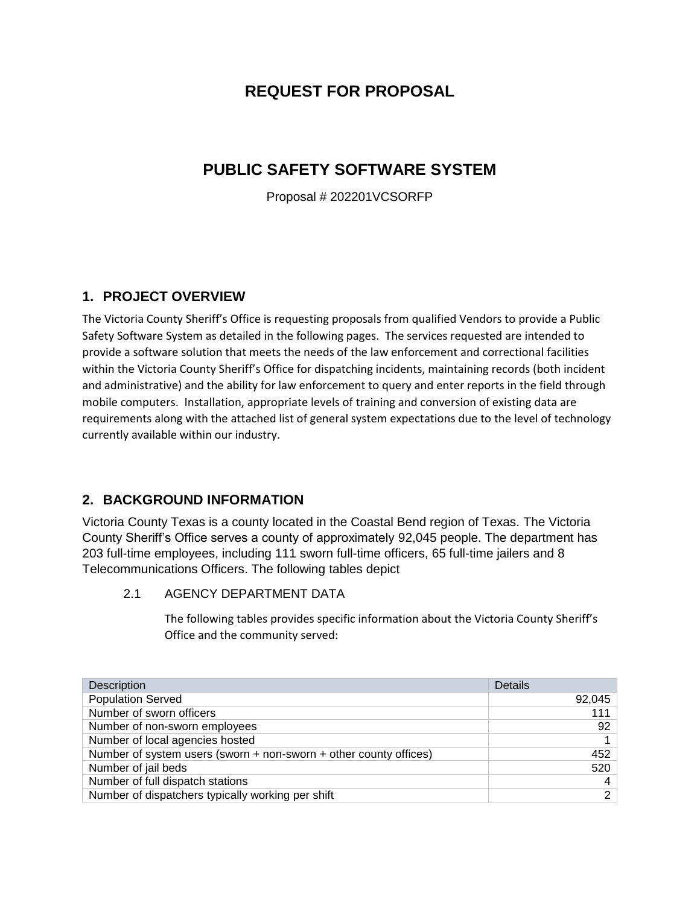# **REQUEST FOR PROPOSAL**

# **PUBLIC SAFETY SOFTWARE SYSTEM**

Proposal # 202201VCSORFP

### **1. PROJECT OVERVIEW**

The Victoria County Sheriff's Office is requesting proposals from qualified Vendors to provide a Public Safety Software System as detailed in the following pages. The services requested are intended to provide a software solution that meets the needs of the law enforcement and correctional facilities within the Victoria County Sheriff's Office for dispatching incidents, maintaining records (both incident and administrative) and the ability for law enforcement to query and enter reports in the field through mobile computers. Installation, appropriate levels of training and conversion of existing data are requirements along with the attached list of general system expectations due to the level of technology currently available within our industry.

## **2. BACKGROUND INFORMATION**

Victoria County Texas is a county located in the Coastal Bend region of Texas. The Victoria County Sheriff's Office serves a county of approximately 92,045 people. The department has 203 full-time employees, including 111 sworn full-time officers, 65 full-time jailers and 8 Telecommunications Officers. The following tables depict

2.1 AGENCY DEPARTMENT DATA

The following tables provides specific information about the Victoria County Sheriff's Office and the community served:

| Description                                                       | Details        |
|-------------------------------------------------------------------|----------------|
| <b>Population Served</b>                                          | 92,045         |
| Number of sworn officers                                          | 111            |
| Number of non-sworn employees                                     | 92             |
| Number of local agencies hosted                                   |                |
| Number of system users (sworn + non-sworn + other county offices) | 452            |
| Number of jail beds                                               | 520            |
| Number of full dispatch stations                                  | $\overline{4}$ |
| Number of dispatchers typically working per shift                 | $\mathbf{2}$   |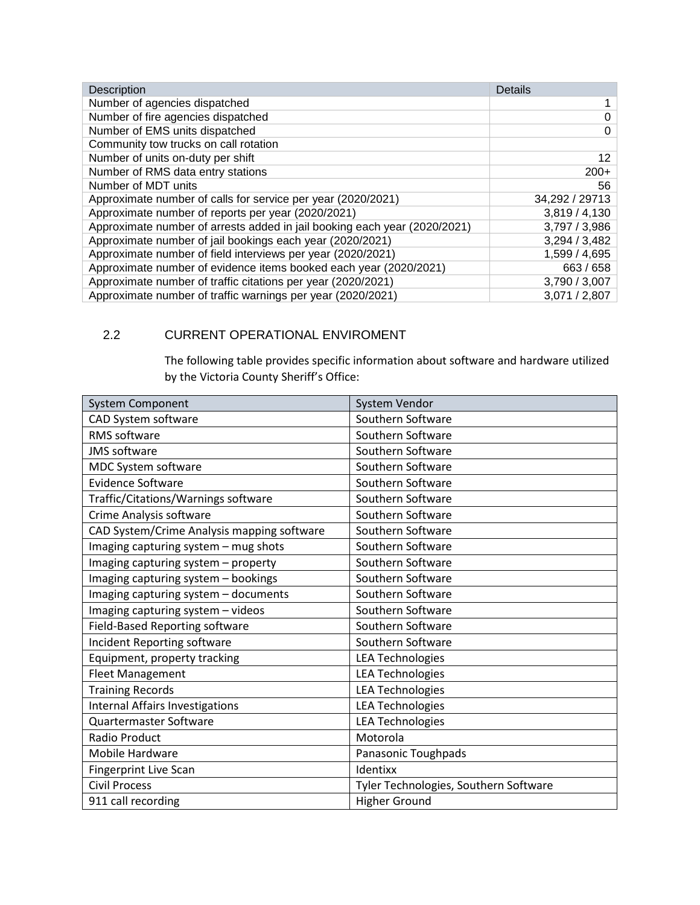| <b>Description</b>                                                        | <b>Details</b>  |
|---------------------------------------------------------------------------|-----------------|
| Number of agencies dispatched                                             |                 |
| Number of fire agencies dispatched                                        | $\Omega$        |
| Number of EMS units dispatched                                            | $\Omega$        |
| Community tow trucks on call rotation                                     |                 |
| Number of units on-duty per shift                                         | 12 <sup>2</sup> |
| Number of RMS data entry stations                                         | $200+$          |
| Number of MDT units                                                       | 56              |
| Approximate number of calls for service per year (2020/2021)              | 34,292 / 29713  |
| Approximate number of reports per year (2020/2021)                        | 3,819/4,130     |
| Approximate number of arrests added in jail booking each year (2020/2021) | 3,797/3,986     |
| Approximate number of jail bookings each year (2020/2021)                 | 3,294 / 3,482   |
| Approximate number of field interviews per year (2020/2021)               | 1,599 / 4,695   |
| Approximate number of evidence items booked each year (2020/2021)         | 663 / 658       |
| Approximate number of traffic citations per year (2020/2021)              | 3,790 / 3,007   |
| Approximate number of traffic warnings per year (2020/2021)               | 3,071 / 2,807   |

### 2.2 CURRENT OPERATIONAL ENVIROMENT

The following table provides specific information about software and hardware utilized by the Victoria County Sheriff's Office:

| System Component                           | System Vendor                         |
|--------------------------------------------|---------------------------------------|
| CAD System software                        | Southern Software                     |
| <b>RMS</b> software                        | Southern Software                     |
| <b>JMS</b> software                        | Southern Software                     |
| MDC System software                        | Southern Software                     |
| <b>Evidence Software</b>                   | Southern Software                     |
| Traffic/Citations/Warnings software        | Southern Software                     |
| Crime Analysis software                    | Southern Software                     |
| CAD System/Crime Analysis mapping software | Southern Software                     |
| Imaging capturing system - mug shots       | Southern Software                     |
| Imaging capturing system - property        | Southern Software                     |
| Imaging capturing system - bookings        | Southern Software                     |
| Imaging capturing system - documents       | Southern Software                     |
| Imaging capturing system - videos          | Southern Software                     |
| <b>Field-Based Reporting software</b>      | Southern Software                     |
| Incident Reporting software                | Southern Software                     |
| Equipment, property tracking               | <b>LEA Technologies</b>               |
| <b>Fleet Management</b>                    | <b>LEA Technologies</b>               |
| <b>Training Records</b>                    | <b>LEA Technologies</b>               |
| Internal Affairs Investigations            | <b>LEA Technologies</b>               |
| Quartermaster Software                     | <b>LEA Technologies</b>               |
| <b>Radio Product</b>                       | Motorola                              |
| <b>Mobile Hardware</b>                     | Panasonic Toughpads                   |
| <b>Fingerprint Live Scan</b>               | Identixx                              |
| <b>Civil Process</b>                       | Tyler Technologies, Southern Software |
| 911 call recording                         | <b>Higher Ground</b>                  |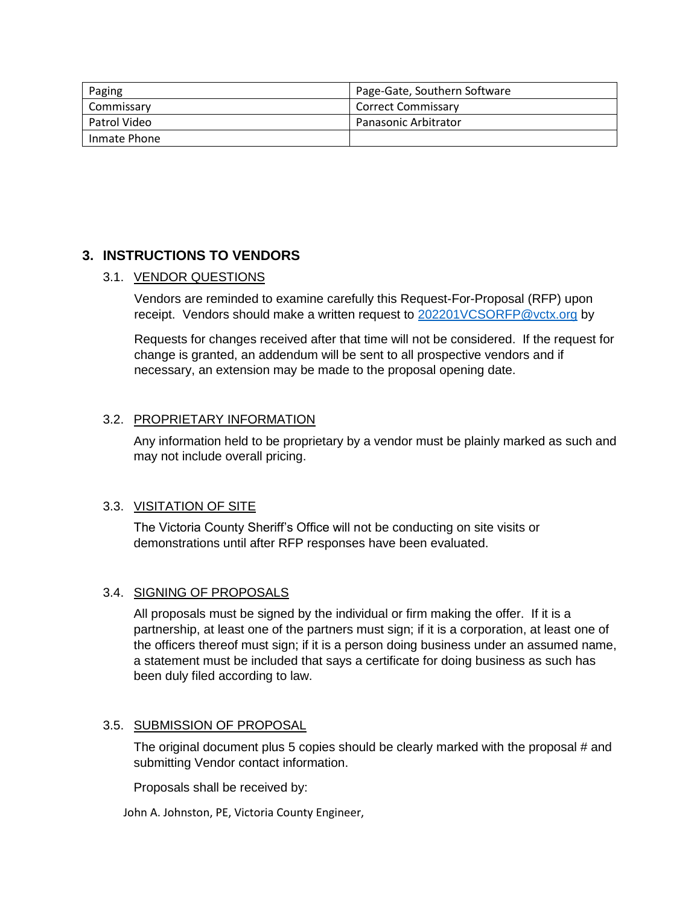| Paging       | Page-Gate, Southern Software |
|--------------|------------------------------|
| Commissary   | Correct Commissary           |
| Patrol Video | <b>Panasonic Arbitrator</b>  |
| Inmate Phone |                              |

## **3. INSTRUCTIONS TO VENDORS**

#### 3.1. VENDOR QUESTIONS

Vendors are reminded to examine carefully this Request-For-Proposal (RFP) upon receipt. Vendors should make a written request to [202201VCSORFP@vctx.org](mailto:202201VCSORFP@vctx.org) by

Requests for changes received after that time will not be considered. If the request for change is granted, an addendum will be sent to all prospective vendors and if necessary, an extension may be made to the proposal opening date.

#### 3.2. PROPRIETARY INFORMATION

Any information held to be proprietary by a vendor must be plainly marked as such and may not include overall pricing.

#### 3.3. VISITATION OF SITE

The Victoria County Sheriff's Office will not be conducting on site visits or demonstrations until after RFP responses have been evaluated.

#### 3.4. SIGNING OF PROPOSALS

All proposals must be signed by the individual or firm making the offer. If it is a partnership, at least one of the partners must sign; if it is a corporation, at least one of the officers thereof must sign; if it is a person doing business under an assumed name, a statement must be included that says a certificate for doing business as such has been duly filed according to law.

#### 3.5. SUBMISSION OF PROPOSAL

The original document plus 5 copies should be clearly marked with the proposal # and submitting Vendor contact information.

Proposals shall be received by:

John A. Johnston, PE, Victoria County Engineer,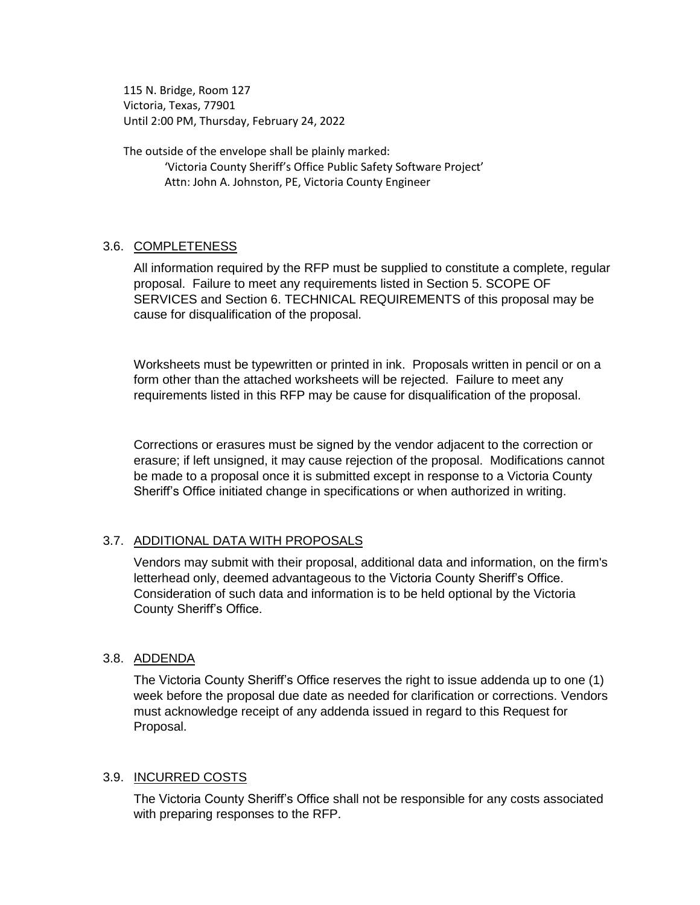115 N. Bridge, Room 127 Victoria, Texas, 77901 Until 2:00 PM, Thursday, February 24, 2022

The outside of the envelope shall be plainly marked: 'Victoria County Sheriff's Office Public Safety Software Project' Attn: John A. Johnston, PE, Victoria County Engineer

#### 3.6. COMPLETENESS

All information required by the RFP must be supplied to constitute a complete, regular proposal. Failure to meet any requirements listed in Section 5. SCOPE OF SERVICES and Section 6. TECHNICAL REQUIREMENTS of this proposal may be cause for disqualification of the proposal.

Worksheets must be typewritten or printed in ink. Proposals written in pencil or on a form other than the attached worksheets will be rejected. Failure to meet any requirements listed in this RFP may be cause for disqualification of the proposal.

Corrections or erasures must be signed by the vendor adjacent to the correction or erasure; if left unsigned, it may cause rejection of the proposal. Modifications cannot be made to a proposal once it is submitted except in response to a Victoria County Sheriff's Office initiated change in specifications or when authorized in writing.

### 3.7. ADDITIONAL DATA WITH PROPOSALS

Vendors may submit with their proposal, additional data and information, on the firm's letterhead only, deemed advantageous to the Victoria County Sheriff's Office. Consideration of such data and information is to be held optional by the Victoria County Sheriff's Office.

#### 3.8. ADDENDA

The Victoria County Sheriff's Office reserves the right to issue addenda up to one (1) week before the proposal due date as needed for clarification or corrections. Vendors must acknowledge receipt of any addenda issued in regard to this Request for Proposal.

#### 3.9. INCURRED COSTS

The Victoria County Sheriff's Office shall not be responsible for any costs associated with preparing responses to the RFP.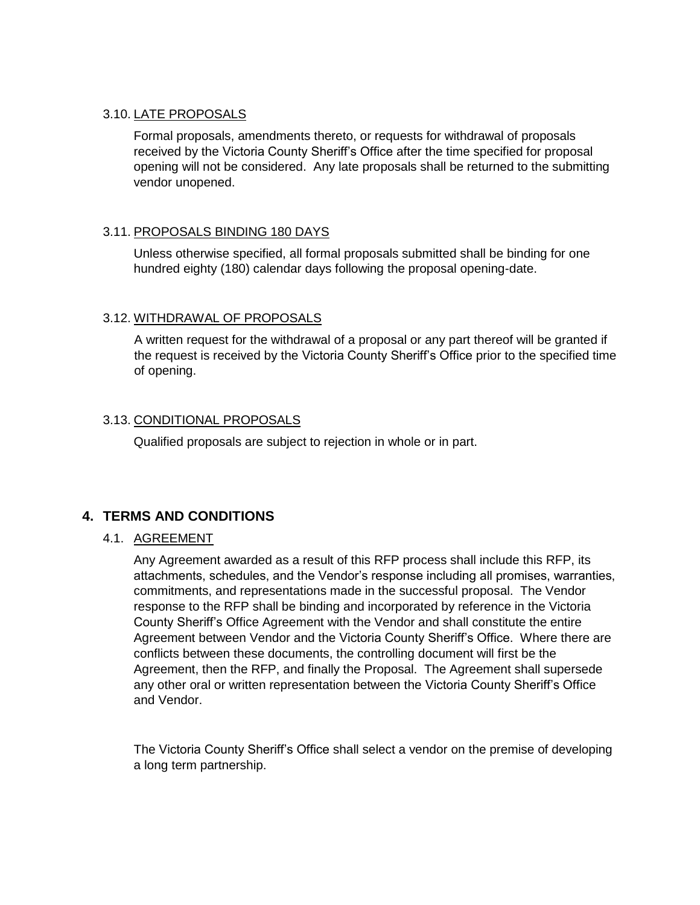#### 3.10. LATE PROPOSALS

Formal proposals, amendments thereto, or requests for withdrawal of proposals received by the Victoria County Sheriff's Office after the time specified for proposal opening will not be considered. Any late proposals shall be returned to the submitting vendor unopened.

### 3.11. PROPOSALS BINDING 180 DAYS

Unless otherwise specified, all formal proposals submitted shall be binding for one hundred eighty (180) calendar days following the proposal opening-date.

#### 3.12. WITHDRAWAL OF PROPOSALS

A written request for the withdrawal of a proposal or any part thereof will be granted if the request is received by the Victoria County Sheriff's Office prior to the specified time of opening.

### 3.13. CONDITIONAL PROPOSALS

Qualified proposals are subject to rejection in whole or in part.

### **4. TERMS AND CONDITIONS**

#### 4.1. AGREEMENT

Any Agreement awarded as a result of this RFP process shall include this RFP, its attachments, schedules, and the Vendor's response including all promises, warranties, commitments, and representations made in the successful proposal. The Vendor response to the RFP shall be binding and incorporated by reference in the Victoria County Sheriff's Office Agreement with the Vendor and shall constitute the entire Agreement between Vendor and the Victoria County Sheriff's Office. Where there are conflicts between these documents, the controlling document will first be the Agreement, then the RFP, and finally the Proposal. The Agreement shall supersede any other oral or written representation between the Victoria County Sheriff's Office and Vendor.

The Victoria County Sheriff's Office shall select a vendor on the premise of developing a long term partnership.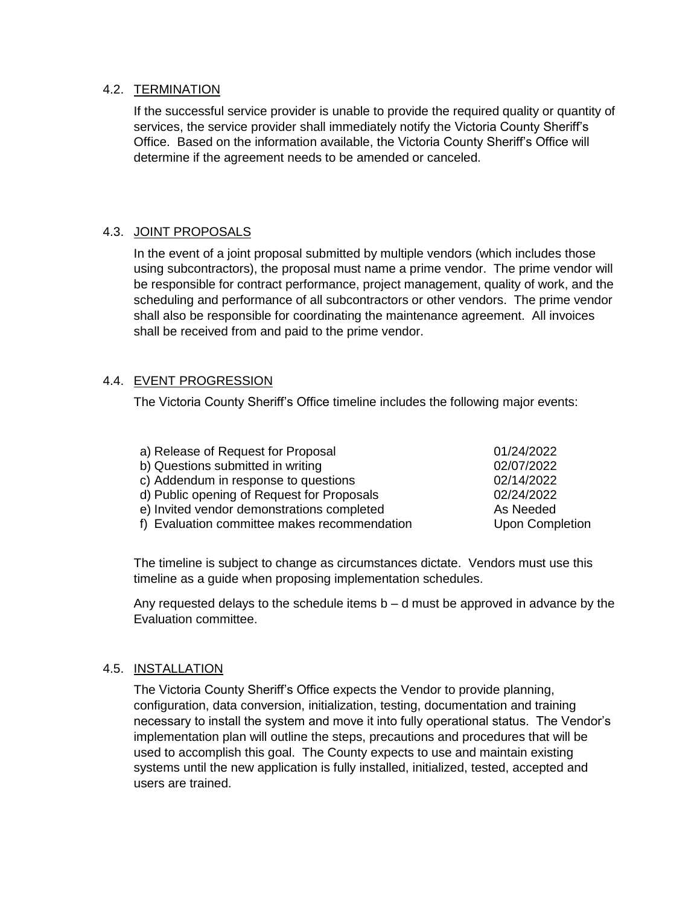#### 4.2. TERMINATION

If the successful service provider is unable to provide the required quality or quantity of services, the service provider shall immediately notify the Victoria County Sheriff's Office. Based on the information available, the Victoria County Sheriff's Office will determine if the agreement needs to be amended or canceled.

### 4.3. JOINT PROPOSALS

In the event of a joint proposal submitted by multiple vendors (which includes those using subcontractors), the proposal must name a prime vendor. The prime vendor will be responsible for contract performance, project management, quality of work, and the scheduling and performance of all subcontractors or other vendors. The prime vendor shall also be responsible for coordinating the maintenance agreement. All invoices shall be received from and paid to the prime vendor.

### 4.4. EVENT PROGRESSION

The Victoria County Sheriff's Office timeline includes the following major events:

| a) Release of Request for Proposal           | 01/24/2022             |
|----------------------------------------------|------------------------|
| b) Questions submitted in writing            | 02/07/2022             |
| c) Addendum in response to questions         | 02/14/2022             |
| d) Public opening of Request for Proposals   | 02/24/2022             |
| e) Invited vendor demonstrations completed   | As Needed              |
| f) Evaluation committee makes recommendation | <b>Upon Completion</b> |
|                                              |                        |

The timeline is subject to change as circumstances dictate. Vendors must use this timeline as a guide when proposing implementation schedules.

Any requested delays to the schedule items  $b - d$  must be approved in advance by the Evaluation committee.

#### 4.5. INSTALLATION

The Victoria County Sheriff's Office expects the Vendor to provide planning, configuration, data conversion, initialization, testing, documentation and training necessary to install the system and move it into fully operational status. The Vendor's implementation plan will outline the steps, precautions and procedures that will be used to accomplish this goal. The County expects to use and maintain existing systems until the new application is fully installed, initialized, tested, accepted and users are trained.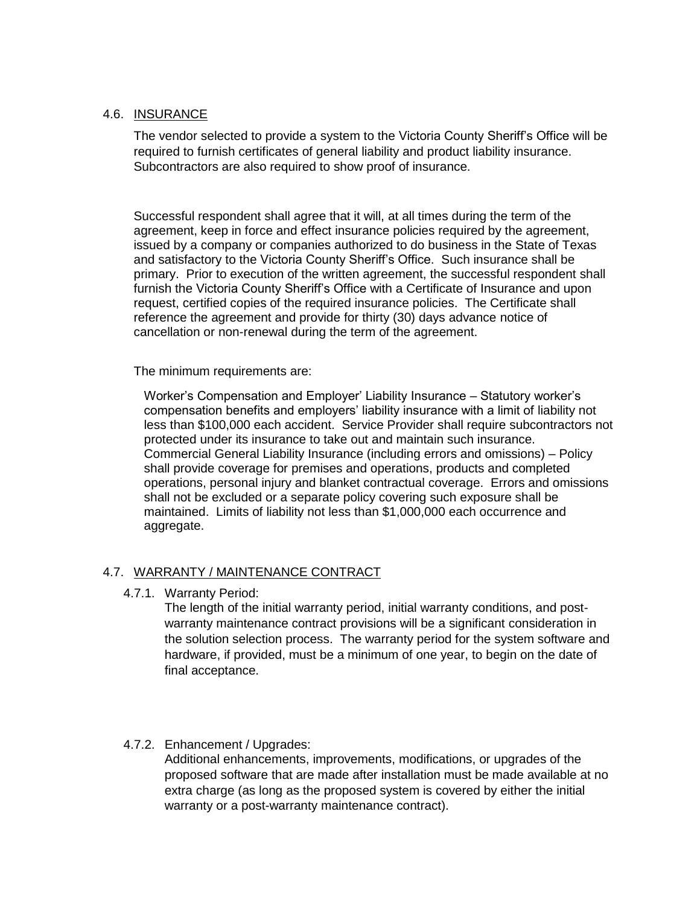#### 4.6. INSURANCE

The vendor selected to provide a system to the Victoria County Sheriff's Office will be required to furnish certificates of general liability and product liability insurance. Subcontractors are also required to show proof of insurance.

Successful respondent shall agree that it will, at all times during the term of the agreement, keep in force and effect insurance policies required by the agreement, issued by a company or companies authorized to do business in the State of Texas and satisfactory to the Victoria County Sheriff's Office. Such insurance shall be primary. Prior to execution of the written agreement, the successful respondent shall furnish the Victoria County Sheriff's Office with a Certificate of Insurance and upon request, certified copies of the required insurance policies. The Certificate shall reference the agreement and provide for thirty (30) days advance notice of cancellation or non-renewal during the term of the agreement.

The minimum requirements are:

Worker's Compensation and Employer' Liability Insurance – Statutory worker's compensation benefits and employers' liability insurance with a limit of liability not less than \$100,000 each accident. Service Provider shall require subcontractors not protected under its insurance to take out and maintain such insurance. Commercial General Liability Insurance (including errors and omissions) – Policy shall provide coverage for premises and operations, products and completed operations, personal injury and blanket contractual coverage. Errors and omissions shall not be excluded or a separate policy covering such exposure shall be maintained. Limits of liability not less than \$1,000,000 each occurrence and aggregate.

#### 4.7. WARRANTY / MAINTENANCE CONTRACT

4.7.1. Warranty Period:

The length of the initial warranty period, initial warranty conditions, and postwarranty maintenance contract provisions will be a significant consideration in the solution selection process. The warranty period for the system software and hardware, if provided, must be a minimum of one year, to begin on the date of final acceptance.

#### 4.7.2. Enhancement / Upgrades:

Additional enhancements, improvements, modifications, or upgrades of the proposed software that are made after installation must be made available at no extra charge (as long as the proposed system is covered by either the initial warranty or a post-warranty maintenance contract).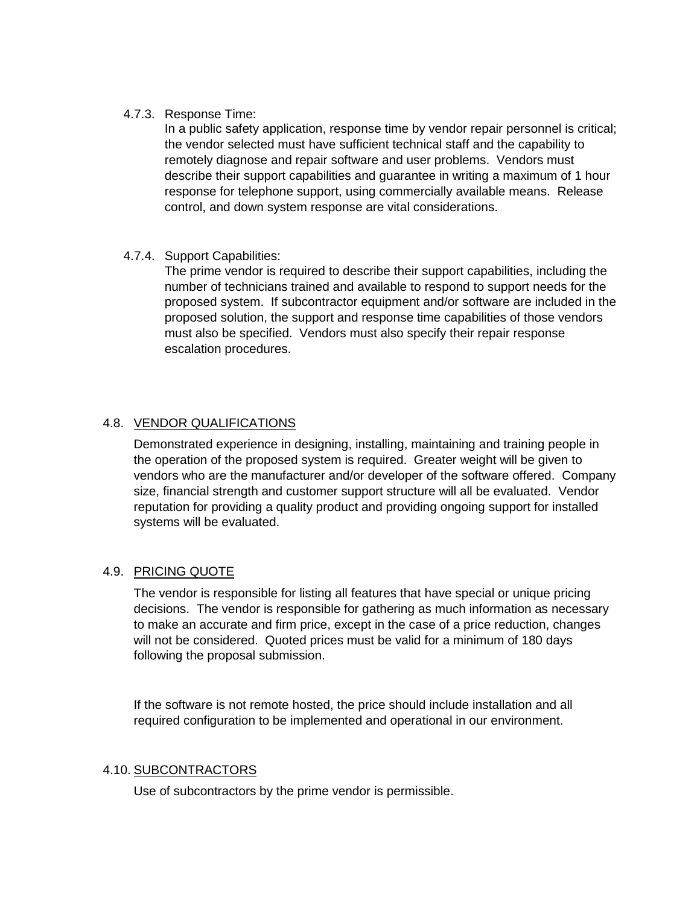#### 4.7.3. Response Time:

In a public safety application, response time by vendor repair personnel is critical; the vendor selected must have sufficient technical staff and the capability to remotely diagnose and repair software and user problems. Vendors must describe their support capabilities and guarantee in writing a maximum of 1 hour response for telephone support, using commercially available means. Release control, and down system response are vital considerations.

#### 4.7.4. Support Capabilities:

The prime vendor is required to describe their support capabilities, including the number of technicians trained and available to respond to support needs for the proposed system. If subcontractor equipment and/or software are included in the proposed solution, the support and response time capabilities of those vendors must also be specified. Vendors must also specify their repair response escalation procedures.

### 4.8. VENDOR QUALIFICATIONS

Demonstrated experience in designing, installing, maintaining and training people in the operation of the proposed system is required. Greater weight will be given to vendors who are the manufacturer and/or developer of the software offered. Company size, financial strength and customer support structure will all be evaluated. Vendor reputation for providing a quality product and providing ongoing support for installed systems will be evaluated.

#### 4.9. PRICING QUOTE

The vendor is responsible for listing all features that have special or unique pricing decisions. The vendor is responsible for gathering as much information as necessary to make an accurate and firm price, except in the case of a price reduction, changes will not be considered. Quoted prices must be valid for a minimum of 180 days following the proposal submission.

If the software is not remote hosted, the price should include installation and all required configuration to be implemented and operational in our environment.

#### 4.10. SUBCONTRACTORS

Use of subcontractors by the prime vendor is permissible.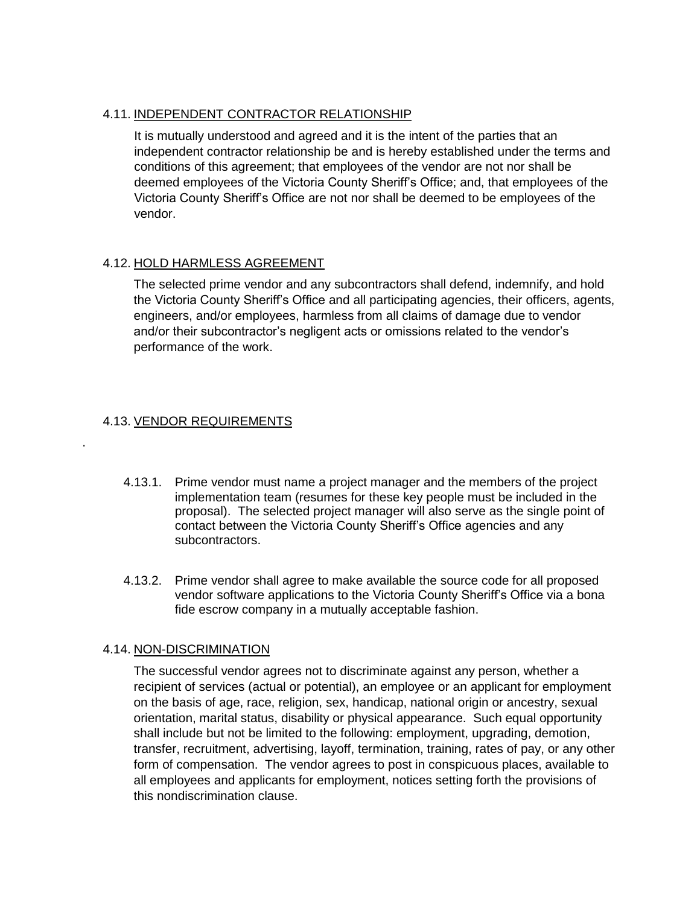#### 4.11. INDEPENDENT CONTRACTOR RELATIONSHIP

It is mutually understood and agreed and it is the intent of the parties that an independent contractor relationship be and is hereby established under the terms and conditions of this agreement; that employees of the vendor are not nor shall be deemed employees of the Victoria County Sheriff's Office; and, that employees of the Victoria County Sheriff's Office are not nor shall be deemed to be employees of the vendor.

#### 4.12. HOLD HARMLESS AGREEMENT

The selected prime vendor and any subcontractors shall defend, indemnify, and hold the Victoria County Sheriff's Office and all participating agencies, their officers, agents, engineers, and/or employees, harmless from all claims of damage due to vendor and/or their subcontractor's negligent acts or omissions related to the vendor's performance of the work.

### 4.13. VENDOR REQUIREMENTS

.

- 4.13.1. Prime vendor must name a project manager and the members of the project implementation team (resumes for these key people must be included in the proposal). The selected project manager will also serve as the single point of contact between the Victoria County Sheriff's Office agencies and any subcontractors.
- 4.13.2. Prime vendor shall agree to make available the source code for all proposed vendor software applications to the Victoria County Sheriff's Office via a bona fide escrow company in a mutually acceptable fashion.

#### 4.14. NON-DISCRIMINATION

The successful vendor agrees not to discriminate against any person, whether a recipient of services (actual or potential), an employee or an applicant for employment on the basis of age, race, religion, sex, handicap, national origin or ancestry, sexual orientation, marital status, disability or physical appearance. Such equal opportunity shall include but not be limited to the following: employment, upgrading, demotion, transfer, recruitment, advertising, layoff, termination, training, rates of pay, or any other form of compensation. The vendor agrees to post in conspicuous places, available to all employees and applicants for employment, notices setting forth the provisions of this nondiscrimination clause.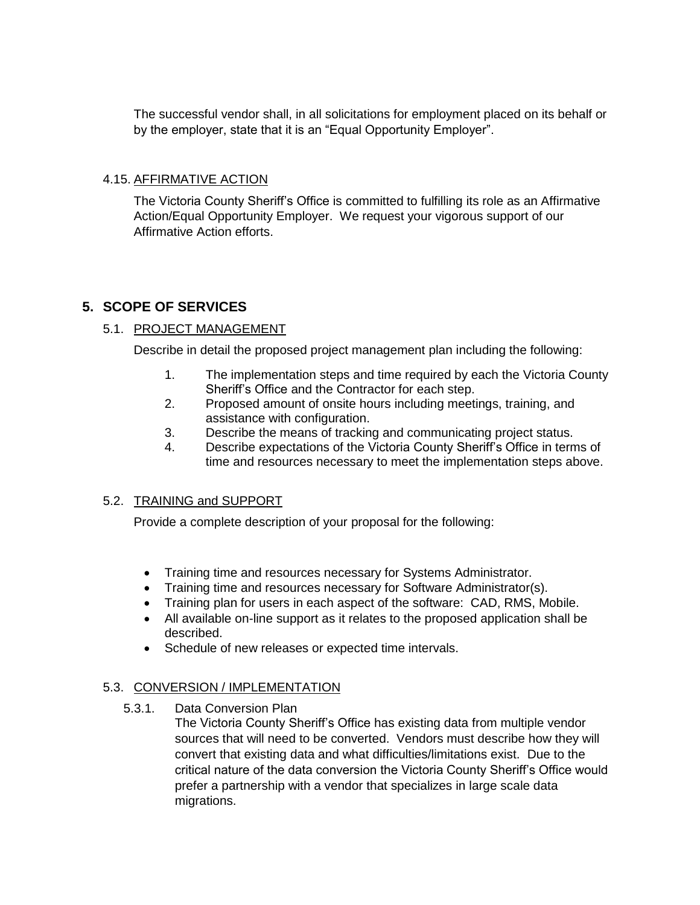The successful vendor shall, in all solicitations for employment placed on its behalf or by the employer, state that it is an "Equal Opportunity Employer".

### 4.15. AFFIRMATIVE ACTION

The Victoria County Sheriff's Office is committed to fulfilling its role as an Affirmative Action/Equal Opportunity Employer. We request your vigorous support of our Affirmative Action efforts.

### **5. SCOPE OF SERVICES**

### 5.1. PROJECT MANAGEMENT

Describe in detail the proposed project management plan including the following:

- 1. The implementation steps and time required by each the Victoria County Sheriff's Office and the Contractor for each step.
- 2. Proposed amount of onsite hours including meetings, training, and assistance with configuration.
- 3. Describe the means of tracking and communicating project status.
- 4. Describe expectations of the Victoria County Sheriff's Office in terms of time and resources necessary to meet the implementation steps above.

#### 5.2. TRAINING and SUPPORT

Provide a complete description of your proposal for the following:

- Training time and resources necessary for Systems Administrator.
- Training time and resources necessary for Software Administrator(s).
- Training plan for users in each aspect of the software: CAD, RMS, Mobile.
- All available on-line support as it relates to the proposed application shall be described.
- Schedule of new releases or expected time intervals.

### 5.3. CONVERSION / IMPLEMENTATION

5.3.1. Data Conversion Plan

The Victoria County Sheriff's Office has existing data from multiple vendor sources that will need to be converted. Vendors must describe how they will convert that existing data and what difficulties/limitations exist. Due to the critical nature of the data conversion the Victoria County Sheriff's Office would prefer a partnership with a vendor that specializes in large scale data migrations.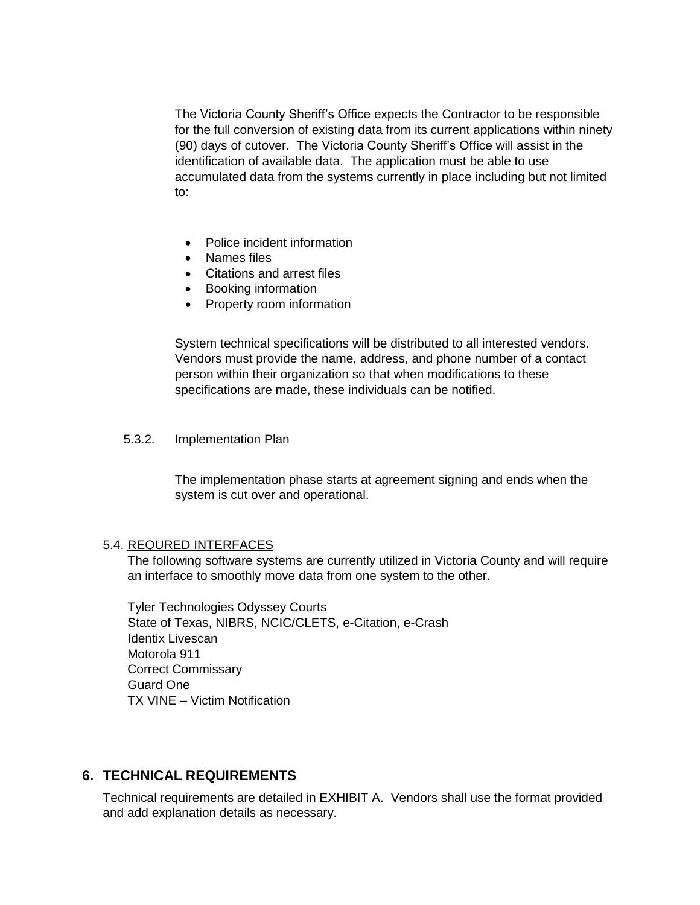The Victoria County Sheriff's Office expects the Contractor to be responsible for the full conversion of existing data from its current applications within ninety (90) days of cutover. The Victoria County Sheriff's Office will assist in the identification of available data. The application must be able to use accumulated data from the systems currently in place including but not limited to:

- Police incident information
- Names files
- Citations and arrest files
- Booking information
- Property room information

System technical specifications will be distributed to all interested vendors. Vendors must provide the name, address, and phone number of a contact person within their organization so that when modifications to these specifications are made, these individuals can be notified.

#### 5.3.2. Implementation Plan

The implementation phase starts at agreement signing and ends when the system is cut over and operational.

#### 5.4. REQURED INTERFACES

The following software systems are currently utilized in Victoria County and will require an interface to smoothly move data from one system to the other.

Tyler Technologies Odyssey Courts State of Texas, NIBRS, NCIC/CLETS, e-Citation, e-Crash Identix Livescan Motorola 911 Correct Commissary Guard One TX VINE – Victim Notification

#### **6. TECHNICAL REQUIREMENTS**

Technical requirements are detailed in EXHIBIT A. Vendors shall use the format provided and add explanation details as necessary.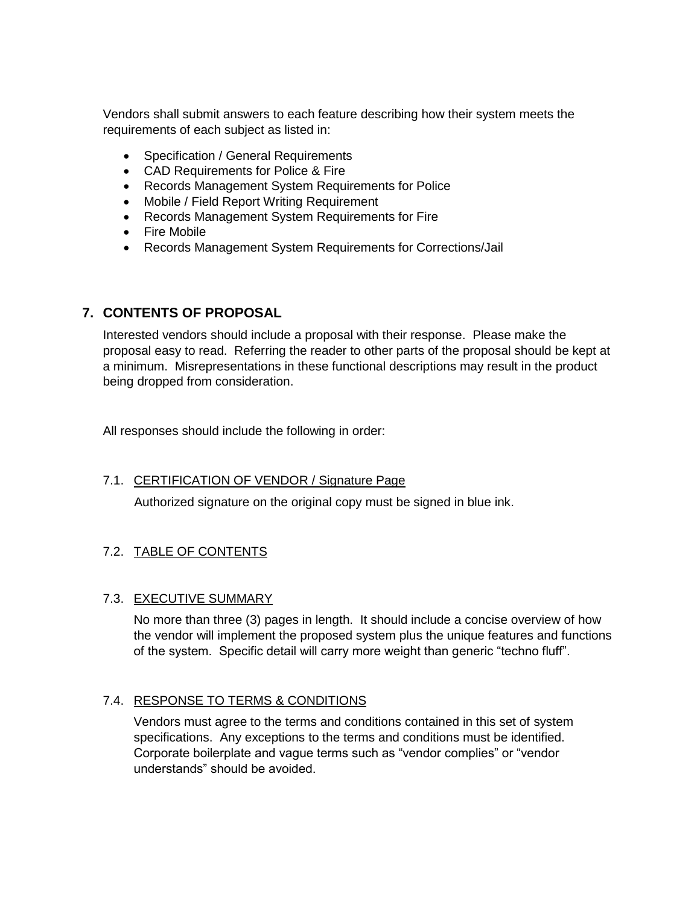Vendors shall submit answers to each feature describing how their system meets the requirements of each subject as listed in:

- Specification / General Requirements
- CAD Requirements for Police & Fire
- Records Management System Requirements for Police
- Mobile / Field Report Writing Requirement
- Records Management System Requirements for Fire
- Fire Mobile
- Records Management System Requirements for Corrections/Jail

### **7. CONTENTS OF PROPOSAL**

Interested vendors should include a proposal with their response. Please make the proposal easy to read. Referring the reader to other parts of the proposal should be kept at a minimum. Misrepresentations in these functional descriptions may result in the product being dropped from consideration.

All responses should include the following in order:

### 7.1. CERTIFICATION OF VENDOR / Signature Page

Authorized signature on the original copy must be signed in blue ink.

### 7.2. TABLE OF CONTENTS

#### 7.3. EXECUTIVE SUMMARY

No more than three (3) pages in length. It should include a concise overview of how the vendor will implement the proposed system plus the unique features and functions of the system. Specific detail will carry more weight than generic "techno fluff".

### 7.4. RESPONSE TO TERMS & CONDITIONS

Vendors must agree to the terms and conditions contained in this set of system specifications. Any exceptions to the terms and conditions must be identified. Corporate boilerplate and vague terms such as "vendor complies" or "vendor understands" should be avoided.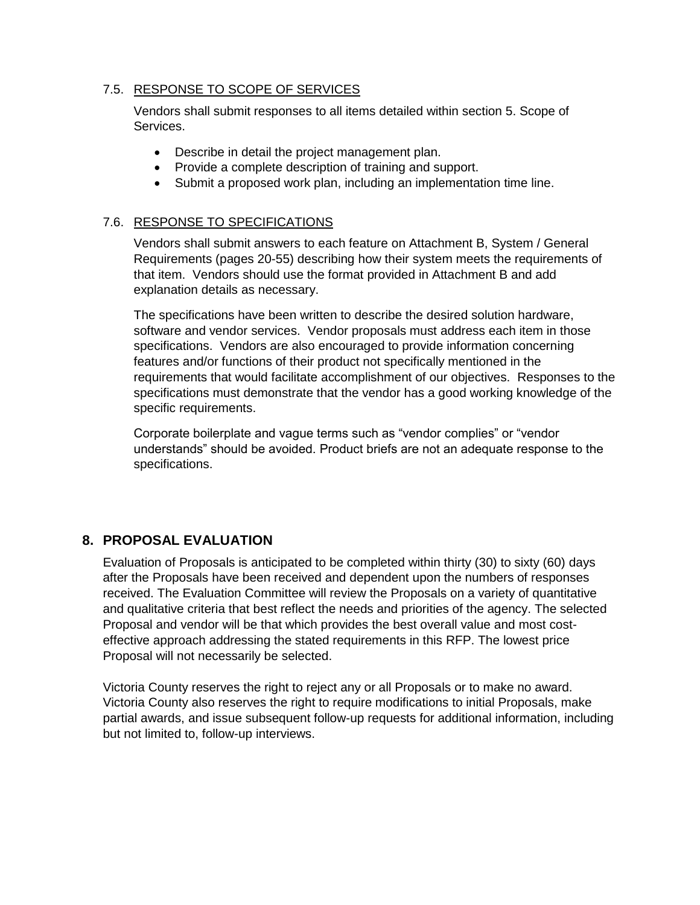### 7.5. RESPONSE TO SCOPE OF SERVICES

Vendors shall submit responses to all items detailed within section 5. Scope of Services.

- Describe in detail the project management plan.
- Provide a complete description of training and support.
- Submit a proposed work plan, including an implementation time line.

#### 7.6. RESPONSE TO SPECIFICATIONS

Vendors shall submit answers to each feature on Attachment B, System / General Requirements (pages 20-55) describing how their system meets the requirements of that item. Vendors should use the format provided in Attachment B and add explanation details as necessary.

The specifications have been written to describe the desired solution hardware, software and vendor services. Vendor proposals must address each item in those specifications. Vendors are also encouraged to provide information concerning features and/or functions of their product not specifically mentioned in the requirements that would facilitate accomplishment of our objectives. Responses to the specifications must demonstrate that the vendor has a good working knowledge of the specific requirements.

Corporate boilerplate and vague terms such as "vendor complies" or "vendor understands" should be avoided. Product briefs are not an adequate response to the specifications.

### **8. PROPOSAL EVALUATION**

Evaluation of Proposals is anticipated to be completed within thirty (30) to sixty (60) days after the Proposals have been received and dependent upon the numbers of responses received. The Evaluation Committee will review the Proposals on a variety of quantitative and qualitative criteria that best reflect the needs and priorities of the agency. The selected Proposal and vendor will be that which provides the best overall value and most costeffective approach addressing the stated requirements in this RFP. The lowest price Proposal will not necessarily be selected.

Victoria County reserves the right to reject any or all Proposals or to make no award. Victoria County also reserves the right to require modifications to initial Proposals, make partial awards, and issue subsequent follow-up requests for additional information, including but not limited to, follow-up interviews.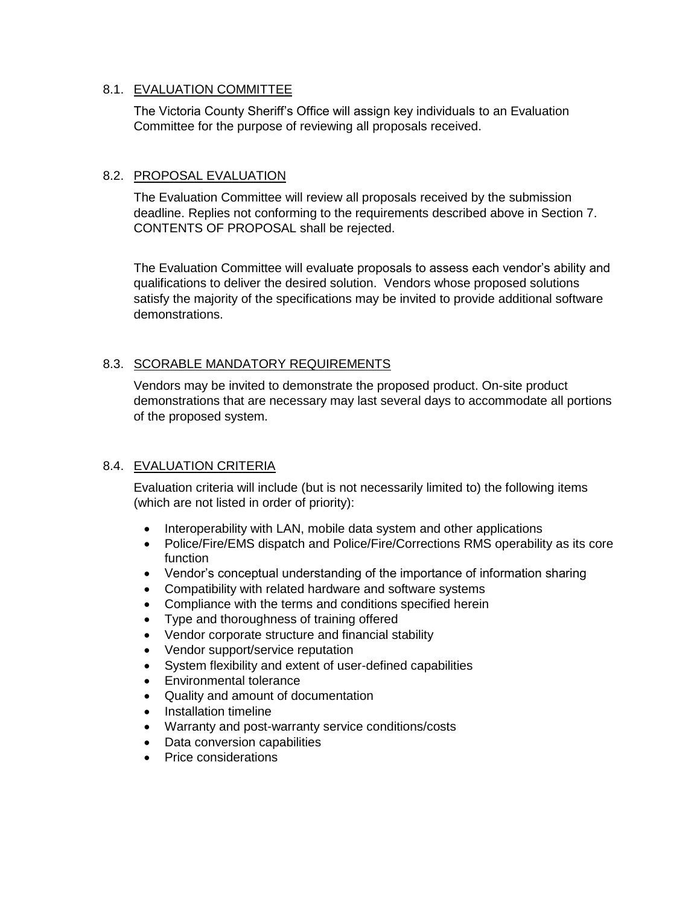### 8.1. EVALUATION COMMITTEE

The Victoria County Sheriff's Office will assign key individuals to an Evaluation Committee for the purpose of reviewing all proposals received.

### 8.2. PROPOSAL EVALUATION

The Evaluation Committee will review all proposals received by the submission deadline. Replies not conforming to the requirements described above in Section 7. CONTENTS OF PROPOSAL shall be rejected.

The Evaluation Committee will evaluate proposals to assess each vendor's ability and qualifications to deliver the desired solution. Vendors whose proposed solutions satisfy the majority of the specifications may be invited to provide additional software demonstrations.

### 8.3. SCORABLE MANDATORY REQUIREMENTS

Vendors may be invited to demonstrate the proposed product. On-site product demonstrations that are necessary may last several days to accommodate all portions of the proposed system.

#### 8.4. EVALUATION CRITERIA

Evaluation criteria will include (but is not necessarily limited to) the following items (which are not listed in order of priority):

- Interoperability with LAN, mobile data system and other applications
- Police/Fire/EMS dispatch and Police/Fire/Corrections RMS operability as its core function
- Vendor's conceptual understanding of the importance of information sharing
- Compatibility with related hardware and software systems
- Compliance with the terms and conditions specified herein
- Type and thoroughness of training offered
- Vendor corporate structure and financial stability
- Vendor support/service reputation
- System flexibility and extent of user-defined capabilities
- Environmental tolerance
- Quality and amount of documentation
- Installation timeline
- Warranty and post-warranty service conditions/costs
- Data conversion capabilities
- Price considerations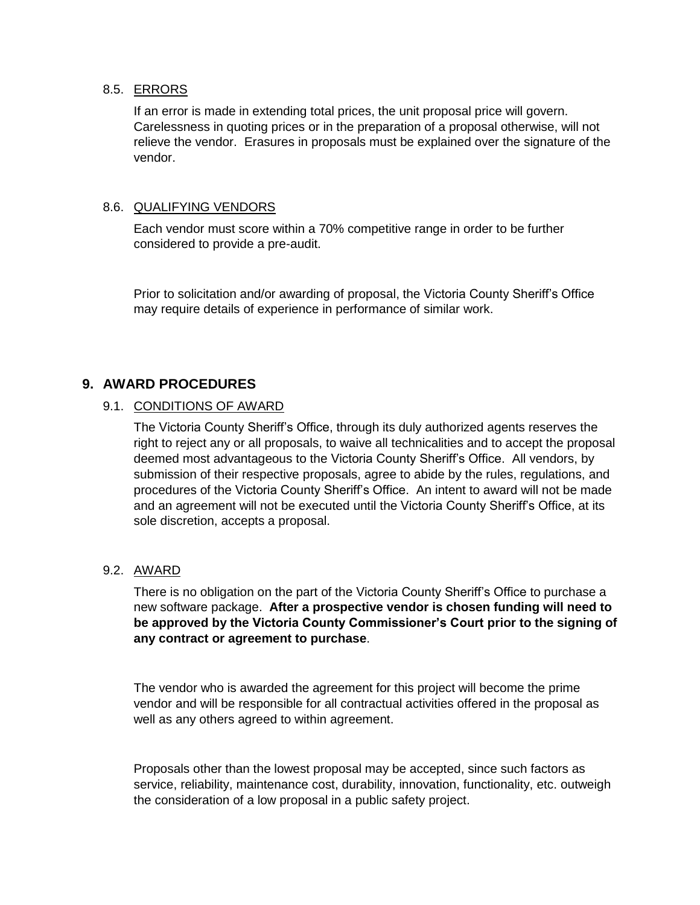#### 8.5. ERRORS

If an error is made in extending total prices, the unit proposal price will govern. Carelessness in quoting prices or in the preparation of a proposal otherwise, will not relieve the vendor. Erasures in proposals must be explained over the signature of the vendor.

#### 8.6. QUALIFYING VENDORS

Each vendor must score within a 70% competitive range in order to be further considered to provide a pre-audit.

Prior to solicitation and/or awarding of proposal, the Victoria County Sheriff's Office may require details of experience in performance of similar work.

### **9. AWARD PROCEDURES**

#### 9.1. CONDITIONS OF AWARD

The Victoria County Sheriff's Office, through its duly authorized agents reserves the right to reject any or all proposals, to waive all technicalities and to accept the proposal deemed most advantageous to the Victoria County Sheriff's Office. All vendors, by submission of their respective proposals, agree to abide by the rules, regulations, and procedures of the Victoria County Sheriff's Office. An intent to award will not be made and an agreement will not be executed until the Victoria County Sheriff's Office, at its sole discretion, accepts a proposal.

#### 9.2. AWARD

There is no obligation on the part of the Victoria County Sheriff's Office to purchase a new software package. **After a prospective vendor is chosen funding will need to be approved by the Victoria County Commissioner's Court prior to the signing of any contract or agreement to purchase**.

The vendor who is awarded the agreement for this project will become the prime vendor and will be responsible for all contractual activities offered in the proposal as well as any others agreed to within agreement.

Proposals other than the lowest proposal may be accepted, since such factors as service, reliability, maintenance cost, durability, innovation, functionality, etc. outweigh the consideration of a low proposal in a public safety project.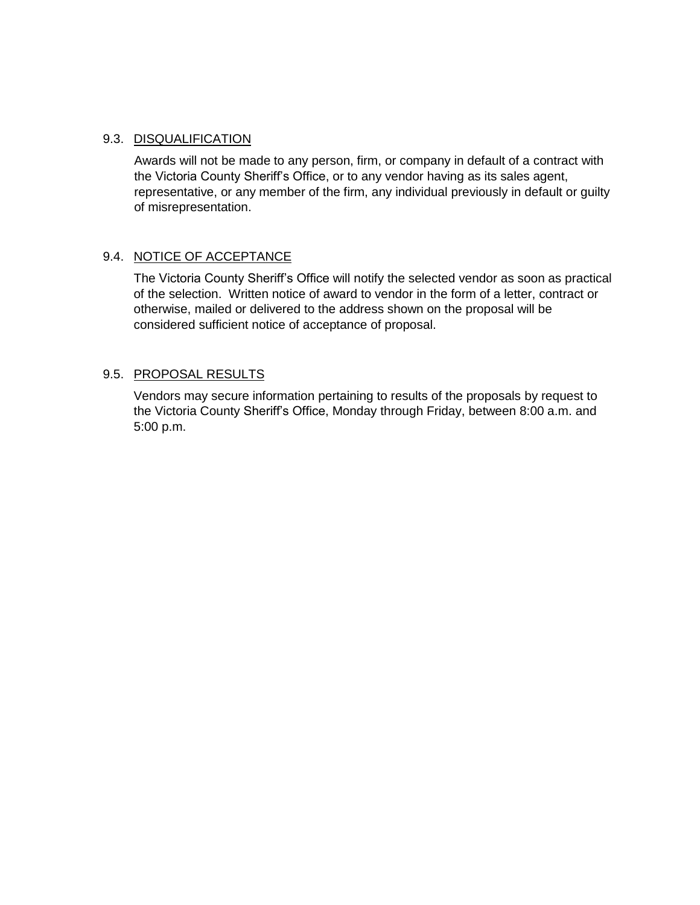#### 9.3. DISQUALIFICATION

Awards will not be made to any person, firm, or company in default of a contract with the Victoria County Sheriff's Office, or to any vendor having as its sales agent, representative, or any member of the firm, any individual previously in default or guilty of misrepresentation.

### 9.4. NOTICE OF ACCEPTANCE

The Victoria County Sheriff's Office will notify the selected vendor as soon as practical of the selection. Written notice of award to vendor in the form of a letter, contract or otherwise, mailed or delivered to the address shown on the proposal will be considered sufficient notice of acceptance of proposal.

#### 9.5. PROPOSAL RESULTS

Vendors may secure information pertaining to results of the proposals by request to the Victoria County Sheriff's Office, Monday through Friday, between 8:00 a.m. and 5:00 p.m.